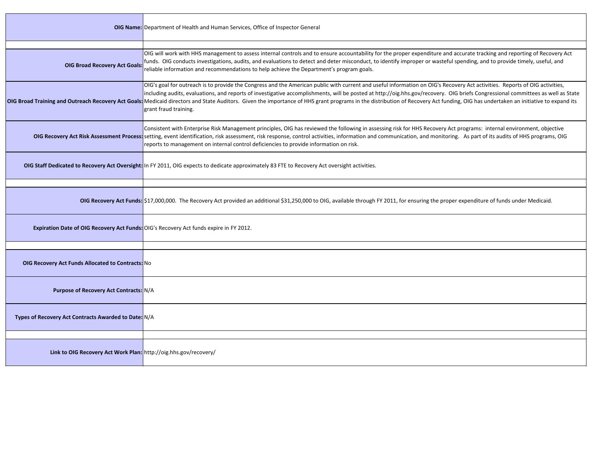|                                                                  | <b>OIG Name:</b> Department of Health and Human Services, Office of Inspector General                                                                                                                                                                                                                                                                                                                                                                                                                                                                                                                                     |
|------------------------------------------------------------------|---------------------------------------------------------------------------------------------------------------------------------------------------------------------------------------------------------------------------------------------------------------------------------------------------------------------------------------------------------------------------------------------------------------------------------------------------------------------------------------------------------------------------------------------------------------------------------------------------------------------------|
|                                                                  |                                                                                                                                                                                                                                                                                                                                                                                                                                                                                                                                                                                                                           |
| <b>OIG Broad Recovery Act Goals</b>                              | OIG will work with HHS management to assess internal controls and to ensure accountability for the proper expenditure and accurate tracking and reporting of Recovery Act<br>funds. OIG conducts investigations, audits, and evaluations to detect and deter misconduct, to identify improper or wasteful spending, and to provide timely, useful, and<br>reliable information and recommendations to help achieve the Department's program goals.                                                                                                                                                                        |
|                                                                  | OIG's goal for outreach is to provide the Congress and the American public with current and useful information on OIG's Recovery Act activities. Reports of OIG activities,<br>including audits, evaluations, and reports of investigative accomplishments, will be posted at http://oig.hhs.gov/recovery. OIG briefs Congressional committees as well as State<br>OIG Broad Training and Outreach Recovery Act Goals: Medicaid directors and State Auditors. Given the importance of HHS grant programs in the distribution of Recovery Act funding, OIG has undertaken an initiative to expand<br>grant fraud training. |
|                                                                  | Consistent with Enterprise Risk Management principles, OIG has reviewed the following in assessing risk for HHS Recovery Act programs: internal environment, objective<br>OIG Recovery Act Risk Assessment Process: setting, event identification, risk assessment, risk response, control activities, information and communication, and monitoring. As part of its audits of HHS programs, OIG<br>reports to management on internal control deficiencies to provide information on risk.                                                                                                                                |
|                                                                  | OIG Staff Dedicated to Recovery Act Oversight: In FY 2011, OIG expects to dedicate approximately 83 FTE to Recovery Act oversight activities.                                                                                                                                                                                                                                                                                                                                                                                                                                                                             |
|                                                                  |                                                                                                                                                                                                                                                                                                                                                                                                                                                                                                                                                                                                                           |
|                                                                  | OIG Recovery Act Funds: \$17,000,000. The Recovery Act provided an additional \$31,250,000 to OIG, available through FY 2011, for ensuring the proper expenditure of funds under Medicaid.                                                                                                                                                                                                                                                                                                                                                                                                                                |
|                                                                  | Expiration Date of OIG Recovery Act Funds: OIG's Recovery Act funds expire in FY 2012.                                                                                                                                                                                                                                                                                                                                                                                                                                                                                                                                    |
|                                                                  |                                                                                                                                                                                                                                                                                                                                                                                                                                                                                                                                                                                                                           |
| <b>OIG Recovery Act Funds Allocated to Contracts: No</b>         |                                                                                                                                                                                                                                                                                                                                                                                                                                                                                                                                                                                                                           |
| <b>Purpose of Recovery Act Contracts: N/A</b>                    |                                                                                                                                                                                                                                                                                                                                                                                                                                                                                                                                                                                                                           |
| Types of Recovery Act Contracts Awarded to Date: N/A             |                                                                                                                                                                                                                                                                                                                                                                                                                                                                                                                                                                                                                           |
|                                                                  |                                                                                                                                                                                                                                                                                                                                                                                                                                                                                                                                                                                                                           |
| Link to OIG Recovery Act Work Plan: http://oig.hhs.gov/recovery/ |                                                                                                                                                                                                                                                                                                                                                                                                                                                                                                                                                                                                                           |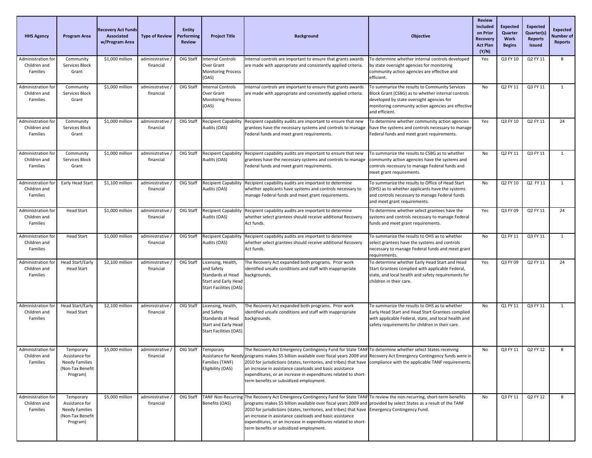| <b>HHS Agency</b>                              | <b>Program Area</b>                                                                  | <b>Recovery Act Funds</b><br>Associated<br>w/Program Area | <b>Type of Review</b>         | <b>Entity</b><br>Performing<br><b>Review</b> | <b>Project Title</b>                                                                                           | <b>Background</b>                                                                                                                                                                                                                                                                                                                                                                                                                                                                                                                                 | <b>Objective</b>                                                                                                                                                                                                          | <b>Review</b><br><b>Included</b><br>on Prior<br>Recovery<br><b>Act Plan</b><br>(Y/N) | Expected<br>Quarter<br>Work<br><b>Begins</b> | <b>Expected</b><br>Quarter(s)<br><b>Reports</b><br><b>Issued</b> | <b>Expected</b><br>Number of<br><b>Reports</b> |
|------------------------------------------------|--------------------------------------------------------------------------------------|-----------------------------------------------------------|-------------------------------|----------------------------------------------|----------------------------------------------------------------------------------------------------------------|---------------------------------------------------------------------------------------------------------------------------------------------------------------------------------------------------------------------------------------------------------------------------------------------------------------------------------------------------------------------------------------------------------------------------------------------------------------------------------------------------------------------------------------------------|---------------------------------------------------------------------------------------------------------------------------------------------------------------------------------------------------------------------------|--------------------------------------------------------------------------------------|----------------------------------------------|------------------------------------------------------------------|------------------------------------------------|
| Administration fo<br>Children and<br>Families  | Community<br>Services Block<br>Grant                                                 | \$1,000 million                                           | administrative<br>financial   | OIG Staff                                    | <b>Internal Controls</b><br>Over Grant<br><b>Monitoring Process</b><br>(OAS)                                   | Internal controls are important to ensure that grants awards<br>are made with appropriate and consistently applied criteria.                                                                                                                                                                                                                                                                                                                                                                                                                      | To determine whether internal controls developed<br>by state oversight agencies for monitoring<br>community action agencies are effective and<br>efficient.                                                               | Yes                                                                                  | Q3 FY 10                                     | Q2 FY 11                                                         | 8                                              |
| Administration for<br>Children and<br>Families | Community<br>Services Block<br>Grant                                                 | \$1,000 million                                           | administrative<br>financial   | OIG Staff                                    | <b>Internal Controls</b><br>Over Grant<br><b>Monitoring Process</b><br>(OAS)                                   | Internal controls are important to ensure that grants awards<br>are made with appropriate and consistently applied criteria.                                                                                                                                                                                                                                                                                                                                                                                                                      | To summarize the results to Community Services<br>Block Grant (CSBG) as to whether internal controls<br>developed by state oversight agencies for<br>monitoring community action agencies are effective<br>and efficient. | No                                                                                   | Q2 FY 11                                     | Q3 FY 11                                                         | 1                                              |
| Administration fo<br>Children and<br>Families  | Community<br>Services Block<br>Grant                                                 | \$1,000 million                                           | administrative<br>financial   | OIG Staff                                    | <b>Recipient Capability</b><br>Audits (OAS)                                                                    | Recipient capability audits are important to ensure that new<br>grantees have the necessary systems and controls to manage<br>Federal funds and meet grant requirements.                                                                                                                                                                                                                                                                                                                                                                          | To determine whether community action agencies<br>have the systems and controls necessary to manage<br>Federal funds and meet grant requirements.                                                                         | Yes                                                                                  | Q3 FY 10                                     | Q2 FY 11                                                         | 24                                             |
| Administration for<br>Children and<br>Families | Community<br>Services Block<br>Grant                                                 | \$1,000 million                                           | administrative<br>financial   | OIG Staff                                    | <b>Recipient Capability</b><br>Audits (OAS)                                                                    | Recipient capability audits are important to ensure that new<br>grantees have the necessary systems and controls to manage<br>Federal funds and meet grant requirements.                                                                                                                                                                                                                                                                                                                                                                          | To summarize the results to CSBG as to whether<br>community action agencies have the systems and<br>controls necessary to manage Federal funds and<br>meet grant requirements.                                            | No                                                                                   | Q2 FY 11                                     | Q3 FY 11                                                         | 1                                              |
| Administration fo<br>Children and<br>Families  | Early Head Start                                                                     | \$1,100 million                                           | administrative<br>financial   | OIG Staff                                    | <b>Recipient Capability</b><br>Audits (OAS)                                                                    | Recipient capability audits are important to determine<br>whether applicants have systems and controls necessary to<br>manage Federal funds and meet grant requirements.                                                                                                                                                                                                                                                                                                                                                                          | To summarize the results to Office of Head Start<br>(OHS) as to whether applicants have the systems<br>and controls necessary to manage Federal funds<br>and meet grant requirements.                                     | No                                                                                   | Q2 FY 10                                     | Q2 FY 11                                                         | 1                                              |
| Administration for<br>Children and<br>Families | <b>Head Start</b>                                                                    | \$1,000 million                                           | administrative,<br>financial  | OIG Staff                                    | <b>Recipient Capability</b><br>Audits (OAS)                                                                    | Recipient capability audits are important to determine<br>whether select grantees should receive additional Recovery<br>Act funds.                                                                                                                                                                                                                                                                                                                                                                                                                | To determine whether select grantees have the<br>systems and controls necessary to manage Federal<br>funds and meet grant requirements.                                                                                   | Yes                                                                                  | Q3 FY 09                                     | Q2 FY 11                                                         | 24                                             |
| Administration for<br>Children and<br>Families | <b>Head Start</b>                                                                    | \$1,000 million                                           | administrative,<br>financial  | OIG Staff                                    | <b>Recipient Capability</b><br>Audits (OAS)                                                                    | Recipient capability audits are important to determine<br>whether select grantees should receive additional Recovery<br>Act funds.                                                                                                                                                                                                                                                                                                                                                                                                                | To summarize the results to OHS as to whether<br>select grantees have the systems and controls<br>necessary to manage Federal funds and meet grant<br>requirements.                                                       | No                                                                                   | Q1 FY 11                                     | Q3 FY 11                                                         | 1                                              |
| Administration for<br>Children and<br>Families | <b>Head Start/Early</b><br>Head Start                                                | \$2,100 million                                           | administrative<br>financial   | OIG Staff                                    | Licensing, Health,<br>and Safety<br>Standards at Head<br>Start and Early Head<br><b>Start Facilities (OAS)</b> | The Recovery Act expanded both programs. Prior work<br>identified unsafe conditions and staff with inappropriate<br>backgrounds.                                                                                                                                                                                                                                                                                                                                                                                                                  | To determine whether Early Head Start and Head<br>Start Grantees complied with applicable Federal,<br>state, and local health and safety requirements for<br>children in their care.                                      | Yes                                                                                  | Q3 FY 09                                     | Q2 FY 11                                                         | 24                                             |
| Administration for<br>Children and<br>Families | Head Start/Early<br><b>Head Start</b>                                                | \$2,100 million                                           | administrative<br>financial   | OIG Staff                                    | Licensing, Health,<br>and Safety<br>Standards at Head<br>Start and Early Head<br><b>Start Facilities (OAS)</b> | The Recovery Act expanded both programs. Prior work<br>identified unsafe conditions and staff with inappropriate<br>backgrounds.                                                                                                                                                                                                                                                                                                                                                                                                                  | To summarize the results to OHS as to whether<br>Early Head Start and Head Start Grantees complied<br>with applicable Federal, state, and local health and<br>safety requirements for children in their care.             | No                                                                                   | Q1 FY 11                                     | Q3 FY 11                                                         | 1                                              |
| Administration for<br>Children and<br>Families | Temporary<br>Assistance for<br>Needy Families<br>(Non-Tax Benefit<br>Program)        | \$5,000 million                                           | administrative /<br>financial |                                              | OIG Staff Temporary<br>Families (TANF)<br>Eligibility (OAS)                                                    | The Recovery Act Emergency Contingency Fund for State TANF To determine whether select States receiving<br>Assistance for Needy programs makes \$5 billion available over fiscal years 2009 and Recovery Act Emergency Contingency funds were in<br>2010 for jurisdictions (states, territories, and tribes) that have compliance with the applicable TANF requirements.<br>an increase in assistance caseloads and basic assistance<br>expenditures, or an increase in expenditures related to short-<br>term benefits or subsidized employment. |                                                                                                                                                                                                                           | No                                                                                   | Q3 FY 11                                     | Q2 FY 12                                                         | 8                                              |
| Administration for<br>Children and<br>Families | Temporary<br>Assistance for<br><b>Needy Families</b><br>(Non-Tax Benefit<br>Program) | \$5,000 million                                           | administrative<br>financial   | OIG Staff                                    | <b>TANF Non-Recurring</b><br>Benefits (OAS)                                                                    | The Recovery Act Emergency Contingency Fund for State TANF To review the non-recurring, short-term benefits<br>programs makes \$5 billion available over fiscal years 2009 and provided by select States as a result of the TANF<br>2010 for jurisdictions (states, territories, and tribes) that have Emergency Contingency Fund.<br>an increase in assistance caseloads and basic assistance<br>expenditures, or an increase in expenditures related to short-<br>term benefits or subsidized employment.                                       |                                                                                                                                                                                                                           | <b>No</b>                                                                            | Q3 FY 11                                     | Q2 FY 12                                                         | 8                                              |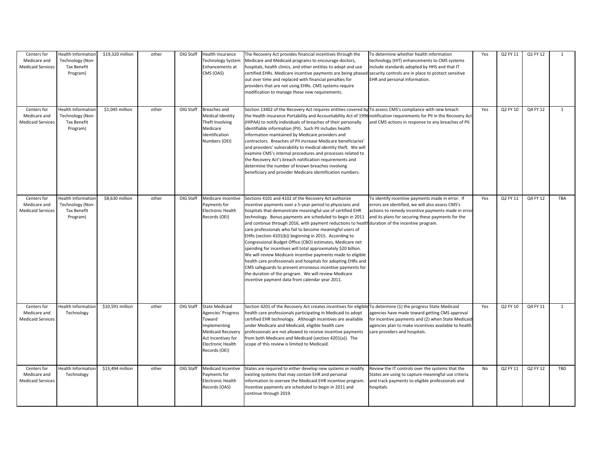| Centers for<br>Medicare and<br><b>Medicaid Services</b> | Health Information<br>Technology (Non-<br><b>Tax Benefit</b><br>Program) | \$19,320 million | other | OIG Staff | Health Insurance<br><b>Technology System</b><br>Enhancements at<br>CMS (OAS)                                                                                  | The Recovery Act provides financial incentives through the<br>Medicare and Medicaid programs to encourage doctors,<br>hospitals, health clinics, and other entities to adopt and use<br>certified EHRs. Medicare incentive payments are being phased<br>out over time and replaced with financial penalties for<br>providers that are not using EHRs. CMS systems require<br>modification to manage these new requirements.                                                                                                                                                                                                                                                                                                                                                                                                                                                                                    | To determine whether health information<br>technology (HIT) enhancements to CMS systems<br>include standards adopted by HHS and that IT<br>security controls are in place to protect sensitive<br>EHR and personal information. | Yes | Q2 FY 11 | Q1 FY 12 | $\overline{1}$ |
|---------------------------------------------------------|--------------------------------------------------------------------------|------------------|-------|-----------|---------------------------------------------------------------------------------------------------------------------------------------------------------------|----------------------------------------------------------------------------------------------------------------------------------------------------------------------------------------------------------------------------------------------------------------------------------------------------------------------------------------------------------------------------------------------------------------------------------------------------------------------------------------------------------------------------------------------------------------------------------------------------------------------------------------------------------------------------------------------------------------------------------------------------------------------------------------------------------------------------------------------------------------------------------------------------------------|---------------------------------------------------------------------------------------------------------------------------------------------------------------------------------------------------------------------------------|-----|----------|----------|----------------|
| Centers for<br>Medicare and<br><b>Medicaid Services</b> | <b>Health Informatior</b><br>Technology (Non-<br>Tax Benefit<br>Program) | $$1,045$ million | other | OIG Staff | Breaches and<br>Medical Identity<br>Theft Involving<br>Medicare<br>Identification<br>Numbers (OEI)                                                            | Section 13402 of the Recovery Act requires entities covered by To assess CMS's compliance with new breach<br>the Health Insurance Portability and Accountability Act of 1996<br>(HIPAA) to notify individuals of breaches of their personally<br>identifiable information (PII). Such PII includes health<br>information maintained by Medicare providers and<br>contractors. Breaches of PII increase Medicare beneficiaries'<br>and providers' vulnerability to medical identity theft. We will<br>examine CMS's internal procedures and processes related to<br>the Recovery Act's breach notification requirements and<br>determine the number of known breaches involving<br>beneficiary and provider Medicare identification numbers.                                                                                                                                                                    | notification requirements for PII in the Recovery Act<br>and CMS actions in response to any breaches of PII.                                                                                                                    | Yes | Q2 FY 10 | Q4 FY 12 | $\mathbf{1}$   |
| Centers for<br>Medicare and<br><b>Medicaid Services</b> | <b>Health Information</b><br>Technology (Non-<br>Tax Benefit<br>Program) | \$8,630 million  | other | OIG Staff | Medicare Incentive<br>Payments for<br><b>Electronic Health</b><br>Records (OEI)                                                                               | Sections 4101 and 4102 of the Recovery Act authorize<br>incentive payments over a 5-year period to physicians and<br>hospitals that demonstrate meaningful use of certified EHR<br>technology. Bonus payments are scheduled to begin in 2011<br>and continue through 2016, with payment reductions to health duration of the incentive program.<br>care professionals who fail to become meaningful users of<br>EHRs (section 4101(b)) beginning in 2015. According to<br>Congressional Budget Office (CBO) estimates, Medicare net<br>spending for incentives will total approximately \$20 billion.<br>We will review Medicare incentive payments made to eligible<br>nealth care professionals and hospitals for adopting EHRs and<br>CMS safeguards to prevent erroneous incentive payments for<br>the duration of the program. We will review Medicare<br>incentive payment data from calendar year 2011. | To identify incentive payments made in error. If<br>errors are identified, we will also assess CMS's<br>actions to remedy incentive payments made in erro<br>and its plans for securing these payments for the                  | Yes | Q2 FY 11 | Q4 FY 12 | TBA            |
| Centers for<br>Medicare and<br><b>Medicaid Services</b> | Health Information<br>Technology                                         | \$10,591 million | other | OIG Staff | <b>State Medicaid</b><br>Agencies' Progress<br>Toward<br>Implementing<br><b>Medicaid Recovery</b><br>Act Incentives for<br>Electronic Health<br>Records (OEI) | Section 4201 of the Recovery Act creates incentives for eligible To determine (1) the progress State Medicaid<br>health care professionals participating in Medicaid to adopt<br>certified EHR technology. Although incentives are available<br>under Medicare and Medicaid, eligible health care<br>professionals are not allowed to receive incentive payments<br>from both Medicare and Medicaid (section 4201(a)). The<br>scope of this review is limited to Medicaid.                                                                                                                                                                                                                                                                                                                                                                                                                                     | agencies have made toward getting CMS approval<br>for incentive payments and (2) when State Medicaid<br>agencies plan to make incentives available to health<br>care providers and hospitals.                                   | Yes | Q2 FY 10 | Q4 FY 11 | $\mathbf{1}$   |
| Centers for<br>Medicare and<br><b>Medicaid Services</b> | Health Informatior<br>Technology                                         | \$13,494 million | other | OIG Staff | <b>Medicaid Incentive</b><br>Payments for<br><b>Electronic Health</b><br>Records (OAS)                                                                        | States are required to either develop new systems or modify<br>existing systems that may contain EHR and personal<br>information to oversee the Medicaid EHR incentive program.<br>Incentive payments are scheduled to begin in 2011 and<br>continue through 2019.                                                                                                                                                                                                                                                                                                                                                                                                                                                                                                                                                                                                                                             | Review the IT controls over the systems that the<br>States are using to capture meaningful use criteria<br>and track payments to eligible professionals and<br>hospitals.                                                       | No  | Q2 FY 11 | Q2 FY 12 | TBD            |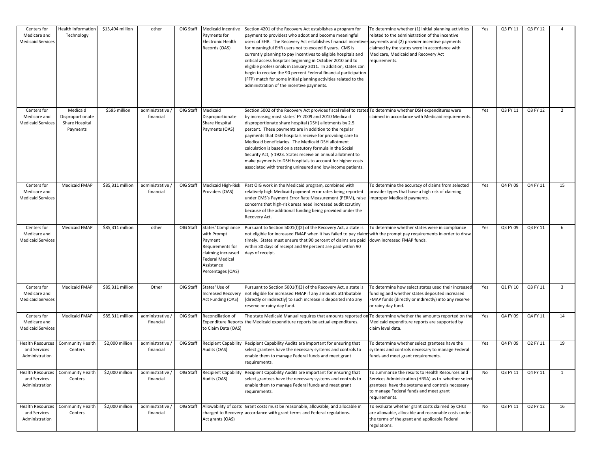| Centers for<br>Medicare and<br><b>Medicaid Services</b>   | <b>Health Information</b><br>Technology                    | \$13,494 million | other                         | OIG Staff | Medicaid Incentive<br>Payments for<br><b>Electronic Health</b><br>Records (OAS)                                                                            | Section 4201 of the Recovery Act establishes a program for<br>payment to providers who adopt and become meaningful<br>users of EHR. The Recovery Act establishes financial incentives payments and (2) provider incentive payments<br>for meaningful EHR users not to exceed 6 years. CMS is<br>currently planning to pay incentives to eligible hospitals and<br>critical access hospitals beginning in October 2010 and to<br>eligible professionals in January 2011. In addition, states can<br>begin to receive the 90 percent Federal financial participation<br>(FFP) match for some initial planning activities related to the<br>administration of the incentive payments. | To determine whether (1) initial planning activities<br>related to the administration of the incentive<br>claimed by the states were in accordance with<br>Medicare, Medicaid and Recovery Act<br>requirements.        | Yes       | Q3 FY 11 | Q3 FY 12 | $\overline{a}$          |
|-----------------------------------------------------------|------------------------------------------------------------|------------------|-------------------------------|-----------|------------------------------------------------------------------------------------------------------------------------------------------------------------|------------------------------------------------------------------------------------------------------------------------------------------------------------------------------------------------------------------------------------------------------------------------------------------------------------------------------------------------------------------------------------------------------------------------------------------------------------------------------------------------------------------------------------------------------------------------------------------------------------------------------------------------------------------------------------|------------------------------------------------------------------------------------------------------------------------------------------------------------------------------------------------------------------------|-----------|----------|----------|-------------------------|
| Centers for<br>Medicare and<br><b>Medicaid Services</b>   | Medicaid<br>Disproportionate<br>Share Hospital<br>Payments | \$595 million    | administrative<br>financial   | OIG Staff | Medicaid<br>Disproportionate<br>Share Hospital<br>Payments (OAS)                                                                                           | Section 5002 of the Recovery Act provides fiscal relief to states To determine whether DSH expenditures were<br>by increasing most states' FY 2009 and 2010 Medicaid<br>disproportionate share hospital (DSH) allotments by 2.5<br>percent. These payments are in addition to the regular<br>payments that DSH hospitals receive for providing care to<br>Medicaid beneficiaries. The Medicaid DSH allotment<br>calculation is based on a statutory formula in the Social<br>Security Act, § 1923. States receive an annual allotment to<br>make payments to DSH hospitals to account for higher costs<br>associated with treating uninsured and low-income patients.              | claimed in accordance with Medicaid requirements.                                                                                                                                                                      | Yes       | Q3 FY 11 | Q3 FY 12 | $\overline{2}$          |
| Centers for<br>Medicare and<br><b>Medicaid Services</b>   | Medicaid FMAP                                              | \$85,311 million | administrative<br>financial   | OIG Staff | <b>Medicaid High-Risk</b><br>Providers (OAS)                                                                                                               | Past OIG work in the Medicaid program, combined with<br>relatively high Medicaid payment error rates being reported<br>under CMS's Payment Error Rate Measurement (PERM), raise<br>concerns that high-risk areas need increased audit scrutiny<br>because of the additional funding being provided under the<br>Recovery Act.                                                                                                                                                                                                                                                                                                                                                      | To determine the accuracy of claims from selected<br>provider types that have a high risk of claiming<br>improper Medicaid payments.                                                                                   | Yes       | Q4 FY 09 | Q4 FY 11 | 15                      |
| Centers for<br>Medicare and<br><b>Medicaid Services</b>   | Medicaid FMAP                                              | \$85,311 million | other                         | OIG Staff | <b>States' Compliance</b><br>with Prompt<br>Payment<br>Requirements for<br>claiming increased<br><b>Federal Medical</b><br>Assistance<br>Percentages (OAS) | Pursuant to Section 5001(f)(2) of the Recovery Act, a state is<br>not eligible for increased FMAP when it has failed to pay claims with the prompt pay requirements in order to draw<br>timely. States must ensure that 90 percent of claims are paid down increased FMAP funds.<br>within 30 days of receipt and 99 percent are paid within 90<br>days of receipt.                                                                                                                                                                                                                                                                                                                | To determine whether states were in compliance                                                                                                                                                                         | Yes       | Q3 FY 09 | Q3 FY 11 | 6                       |
| Centers for<br>Medicare and<br><b>Medicaid Services</b>   | Medicaid FMAP                                              | \$85,311 million | Other                         | OIG Staff | States' Use of<br>Increased Recovery<br>Act Funding (OAS)                                                                                                  | Pursuant to Section 5001(f)(3) of the Recovery Act, a state is<br>not eligible for increased FMAP if any amounts attributable<br>(directly or indirectly) to such increase is deposited into any<br>reserve or rainy day fund.                                                                                                                                                                                                                                                                                                                                                                                                                                                     | To determine how select states used their increased<br>funding and whether states deposited increased<br>FMAP funds (directly or indirectly) into any reserve<br>or rainy day fund.                                    | Yes       | Q1 FY 10 | Q3 FY 11 | $\overline{\mathbf{3}}$ |
| Centers for<br>Medicare and<br><b>Medicaid Services</b>   | Medicaid FMAP                                              | \$85,311 million | administrative<br>financial   | OIG Staff | Reconciliation of<br><b>Expenditure Reports</b><br>to Claim Data (OAS)                                                                                     | The state Medicaid Manual requires that amounts reported on To determine whether the amounts reported on the<br>the Medicaid expenditure reports be actual expenditures.                                                                                                                                                                                                                                                                                                                                                                                                                                                                                                           | Medicaid expenditure reports are supported by<br>claim level data.                                                                                                                                                     | Yes       | Q4 FY 09 | Q4 FY 11 | 14                      |
| Health Resources<br>and Services<br>Administration        | Community Health<br>Centers                                | \$2,000 million  | administrative<br>financial   | OIG Staff | <b>Recipient Capability</b><br>Audits (OAS)                                                                                                                | Recipient Capability Audits are important for ensuring that<br>select grantees have the necessary systems and controls to<br>enable them to manage Federal funds and meet grant<br>requirements.                                                                                                                                                                                                                                                                                                                                                                                                                                                                                   | To determine whether select grantees have the<br>systems and controls necessary to manage Federal<br>funds and meet grant requirements.                                                                                | Yes       | Q4 FY 09 | Q2 FY 11 | 19                      |
| <b>Health Resources</b><br>and Services<br>Administration | Community Health<br>Centers                                | \$2,000 million  | administrative /<br>financial | OIG Staff | <b>Recipient Capability</b><br>Audits (OAS)                                                                                                                | Recipient Capability Audits are important for ensuring that<br>select grantees have the necessary systems and controls to<br>enable them to manage Federal funds and meet grant<br>requirements.                                                                                                                                                                                                                                                                                                                                                                                                                                                                                   | To summarize the results to Health Resources and<br>Services Administration (HRSA) as to whether select<br>grantees have the systems and controls necessary<br>to manage Federal funds and meet grant<br>requirements. | No        | Q3 FY 11 | Q4 FY 11 | 1                       |
| <b>Health Resources</b><br>and Services<br>Administration | Community Health<br>Centers                                | \$2,000 million  | administrative<br>financial   | OIG Staff | Act grants (OAS)                                                                                                                                           | Allowability of costs Grant costs must be reasonable, allowable, and allocable in<br>charged to Recovery accordance with grant terms and Federal regulations.                                                                                                                                                                                                                                                                                                                                                                                                                                                                                                                      | To evaluate whether grant costs claimed by CHCs<br>are allowable, allocable and reasonable costs under<br>the terms of the grant and applicable Federal<br>regulations.                                                | <b>No</b> | Q3 FY 11 | Q2 FY 12 | 16                      |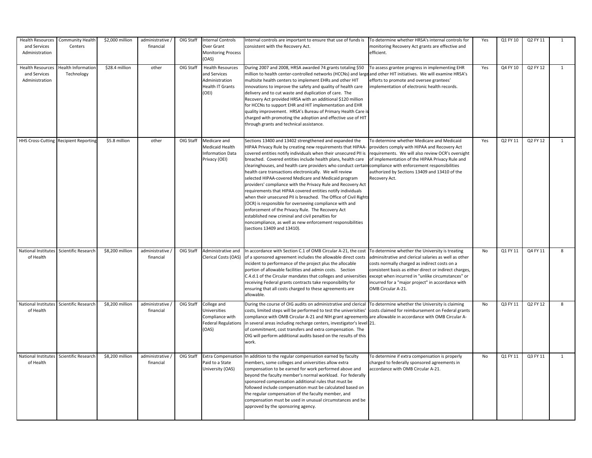| <b>Health Resources</b><br>and Services<br>Administration | <b>Community Health</b><br>Centers      | \$2,000 million | administrative /<br>financial | OIG Staff | <b>Internal Controls</b><br>Over Grant<br><b>Monitoring Process</b><br>(OAS)                 | Internal controls are important to ensure that use of funds is<br>consistent with the Recovery Act.                                                                                                                                                                                                                                                                                                                                                                                                                                                                                                                                                                                                                                                                                                                                                                                                                                                           | To determine whether HRSA's internal controls for<br>monitoring Recovery Act grants are effective and<br>efficient.                                                                                                                                                                                                                                 | Yes       | Q1 FY 10 | Q2 FY 11 | $\overline{1}$ |
|-----------------------------------------------------------|-----------------------------------------|-----------------|-------------------------------|-----------|----------------------------------------------------------------------------------------------|---------------------------------------------------------------------------------------------------------------------------------------------------------------------------------------------------------------------------------------------------------------------------------------------------------------------------------------------------------------------------------------------------------------------------------------------------------------------------------------------------------------------------------------------------------------------------------------------------------------------------------------------------------------------------------------------------------------------------------------------------------------------------------------------------------------------------------------------------------------------------------------------------------------------------------------------------------------|-----------------------------------------------------------------------------------------------------------------------------------------------------------------------------------------------------------------------------------------------------------------------------------------------------------------------------------------------------|-----------|----------|----------|----------------|
| <b>Health Resources</b><br>and Services<br>Administration | <b>Health Information</b><br>Technology | \$28.4 million  | other                         | OIG Staff | <b>Health Resources</b><br>and Services<br>Administration<br>Health IT Grants<br>(OEI)       | During 2007 and 2008, HRSA awarded 74 grants totaling \$50<br>million to health center-controlled networks (HCCNs) and large and other HIT initiatives. We will examine HRSA's<br>multisite health centers to implement EHRs and other HIT<br>innovations to improve the safety and quality of health care<br>delivery and to cut waste and duplication of care. The<br>Recovery Act provided HRSA with an additional \$120 million<br>for HCCNs to support EHR and HIT implementation and EHR<br>quality improvement. HRSA's Bureau of Primary Health Care i<br>charged with promoting the adoption and effective use of HIT<br>through grants and technical assistance.                                                                                                                                                                                                                                                                                     | To assess grantee progress in implementing EHR<br>efforts to promote and oversee grantees'<br>implementation of electronic health records.                                                                                                                                                                                                          | Yes       | Q4 FY 10 | Q2 FY 12 | $\mathbf{1}$   |
|                                                           | HHS Cross-Cutting Recipient Reporting   | \$5.8 million   | other                         | OIG Staff | Medicare and<br>Medicaid Health<br>Information Data<br>Privacy (OEI)                         | Sections 13400 and 13402 strengthened and expanded the<br>HIPAA Privacy Rule by creating new requirements that HIPAA-<br>covered entities notify individuals when their unsecured PII is<br>breached. Covered entities include health plans, health care<br>clearinghouses, and health care providers who conduct certain compliance with enforcement responsibilities<br>health care transactions electronically. We will review<br>selected HIPAA-covered Medicare and Medicaid program<br>providers' compliance with the Privacy Rule and Recovery Act<br>requirements that HIPAA covered entities notify individuals<br>when their unsecured PII is breached. The Office of Civil Rights<br>(OCR) is responsible for overseeing compliance with and<br>enforcement of the Privacy Rule. The Recovery Act<br>established new criminal and civil penalties for<br>noncompliance, as well as new enforcement responsibilities<br>(sections 13409 and 13410). | To determine whether Medicare and Medicaid<br>providers comply with HIPAA and Recovery Act<br>requirements. We will also review OCR's oversight<br>of implementation of the HIPAA Privacy Rule and<br>authorized by Sections 13409 and 13410 of the<br>Recovery Act.                                                                                | Yes       | Q2 FY 11 | Q2 FY 12 | $\mathbf{1}$   |
| National Institutes<br>of Health                          | Scientific Research                     | \$8,200 million | administrative<br>financial   | OIG Staff | Administrative and<br>Clerical Costs (OAS)                                                   | In accordance with Section C.1 of OMB Circular A-21, the cost<br>of a sponsored agreement includes the allowable direct costs<br>ncident to performance of the project plus the allocable<br>portion of allowable facilities and admin costs. Section<br>C.4.d.1 of the Circular mandates that colleges and universities<br>receiving Federal grants contracts take responsibility for<br>ensuring that all costs charged to these agreements are<br>allowable.                                                                                                                                                                                                                                                                                                                                                                                                                                                                                               | To determine whether the University is treating<br>adminsitrative and clerical salaries as well as other<br>costs normally charged as indirect costs on a<br>consistent basis as either direct or indirect charges,<br>except when incurred in "unlike circumstances" or<br>incurred for a "major project" in accordance with<br>OMB Circular A-21. | No        | Q1 FY 11 | Q4 FY 11 | 8              |
| National Institutes<br>of Health                          | Scientific Research                     | \$8,200 million | administrative /<br>financial | OIG Staff | College and<br><b>Universities</b><br>Compliance with<br><b>Federal Regulations</b><br>(OAS) | During the course of OIG audits on administrative and clerical<br>costs, limited steps will be performed to test the univerisities'<br>compliance with OMB Circular A-21 and NIH grant agreements<br>in several areas including recharge centers, investigator's level 21.<br>of commitment, cost transfers and extra compensation. The<br>OIG will perform additional audits based on the results of this<br>work.                                                                                                                                                                                                                                                                                                                                                                                                                                                                                                                                           | To determine whether the University is claiming<br>costs claimed for reimbursement on Federal grants<br>are allowable in accordance with OMB Circular A-                                                                                                                                                                                            | No        | Q3 FY 11 | Q2 FY 12 | 8              |
| of Health                                                 | National Institutes Scientific Research | \$8,200 million | administrative<br>financial   | OIG Staff | Paid to a State<br>University (OAS)                                                          | Extra Compensation In addition to the regular compensation earned by faculty<br>members, some colleges and universities allow extra<br>compensation to be earned for work performed above and<br>beyond the faculty member's normal workload. For federally<br>sponsored compensation additional rules that must be<br>followed include compensation must be calculated based on<br>the regular compensation of the faculty member, and<br>compensation must be used in unusual circumstances and be<br>approved by the sponsoring agency.                                                                                                                                                                                                                                                                                                                                                                                                                    | To determine if extra compensation is properly<br>charged to federally sponsored agreements in<br>accordance with OMB Circular A-21.                                                                                                                                                                                                                | <b>No</b> | Q1 FY 11 | Q3 FY 11 | 1              |